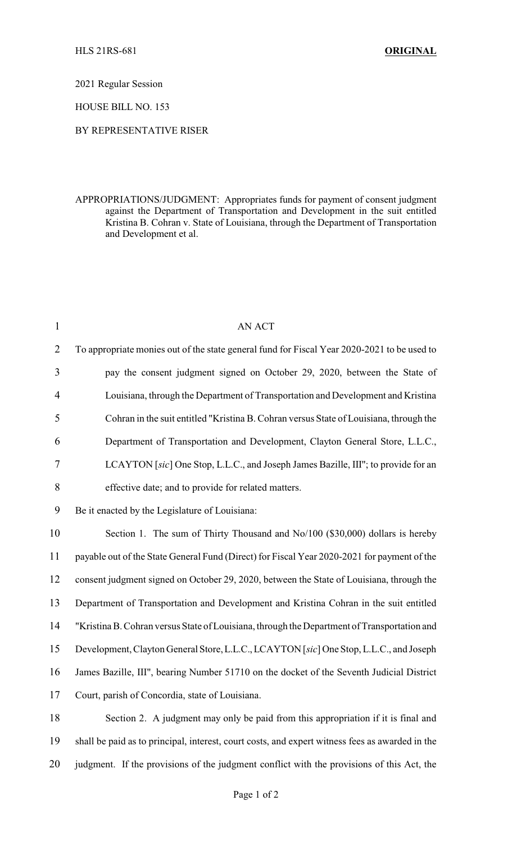2021 Regular Session

HOUSE BILL NO. 153

## BY REPRESENTATIVE RISER

APPROPRIATIONS/JUDGMENT: Appropriates funds for payment of consent judgment against the Department of Transportation and Development in the suit entitled Kristina B. Cohran v. State of Louisiana, through the Department of Transportation and Development et al.

| $\mathbf{1}$   | <b>AN ACT</b>                                                                                   |
|----------------|-------------------------------------------------------------------------------------------------|
| $\overline{2}$ | To appropriate monies out of the state general fund for Fiscal Year 2020-2021 to be used to     |
| $\overline{3}$ | pay the consent judgment signed on October 29, 2020, between the State of                       |
| $\overline{4}$ | Louisiana, through the Department of Transportation and Development and Kristina                |
| 5              | Cohran in the suit entitled "Kristina B. Cohran versus State of Louisiana, through the          |
| 6              | Department of Transportation and Development, Clayton General Store, L.L.C.,                    |
| 7              | LCAYTON [sic] One Stop, L.L.C., and Joseph James Bazille, III"; to provide for an               |
| 8              | effective date; and to provide for related matters.                                             |
| 9              | Be it enacted by the Legislature of Louisiana:                                                  |
| 10             | Section 1. The sum of Thirty Thousand and No/100 (\$30,000) dollars is hereby                   |
| 11             | payable out of the State General Fund (Direct) for Fiscal Year 2020-2021 for payment of the     |
| 12             | consent judgment signed on October 29, 2020, between the State of Louisiana, through the        |
| 13             | Department of Transportation and Development and Kristina Cohran in the suit entitled           |
| 14             | "Kristina B. Cohran versus State of Louisiana, through the Department of Transportation and     |
| 15             | Development, Clayton General Store, L.L.C., LCAYTON [sic] One Stop, L.L.C., and Joseph          |
| 16             | James Bazille, III", bearing Number 51710 on the docket of the Seventh Judicial District        |
| 17             | Court, parish of Concordia, state of Louisiana.                                                 |
| 18             | Section 2. A judgment may only be paid from this appropriation if it is final and               |
| 19             | shall be paid as to principal, interest, court costs, and expert witness fees as awarded in the |
|                |                                                                                                 |

judgment. If the provisions of the judgment conflict with the provisions of this Act, the